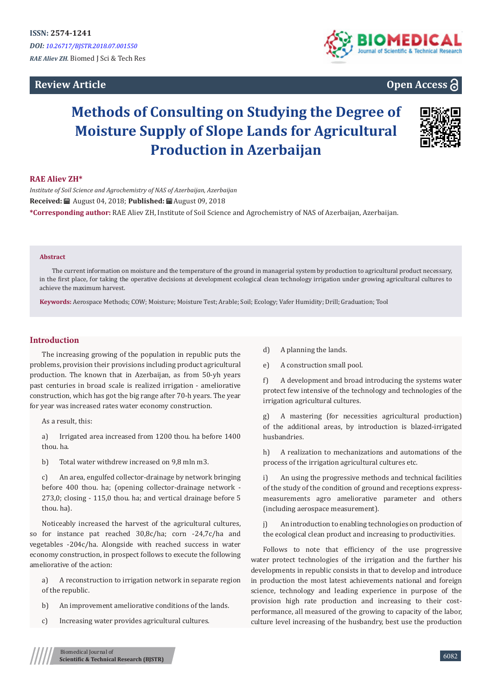# **Review Article**



# **Open Access**

# **Methods of Consulting on Studying the Degree of Moisture Supply of Slope Lands for Agricultural Production in Azerbaijan**



## **RAE Aliev ZH\***

*Institute of Soil Science and Agrochemistry of NAS of Azerbaijan, Azerbaijan* **Received:** August 04, 2018; **Published:** August 09, 2018 **\*Corresponding author:** RAE Aliev ZH, Institute of Soil Science and Agrochemistry of NAS of Azerbaijan, Azerbaijan.

#### **Abstract**

The current information on moisture and the temperature of the ground in managerial system by production to agricultural product necessary, in the first place, for taking the operative decisions at development ecological clean technology irrigation under growing agricultural cultures to achieve the maximum harvest.

**Keywords:** Aerospace Methods; COW; Moisture; Moisture Test; Arable; Soil; Ecology; Vafer Humidity; Drill; Graduation; Tool

## **Introduction**

The increasing growing of the population in republic puts the problems, provision their provisions including product agricultural production. The known that in Azerbaijan, as from 50-yh years past centuries in broad scale is realized irrigation - ameliorative construction, which has got the big range after 70-h years. The year for year was increased rates water economy construction.

As a result, this:

a) Irrigated area increased from 1200 thou. ha before 1400 thou. ha.

b) Total water withdrew increased on 9,8 mln m3.

c) An area, engulfed collector-drainage by network bringing before 400 thou. ha; (opening collector-drainage network - 273,0; closing - 115,0 thou. ha; and vertical drainage before 5 thou. ha).

Noticeably increased the harvest of the agricultural cultures, so for instance pat reached 30,8c/hа; corn -24,7c/ha and vegetables -204c/hа. Alongside with reached success in water economy construction, in prospect follows to execute the following ameliorative of the action:

a) A reconstruction to irrigation network in separate region of the republic.

- b) An improvement ameliorative conditions of the lands.
- c) Increasing water provides agricultural cultures.
- d) A planning the lands.
- e) A construction small pool.

f) A development and broad introducing the systems water protect few intensive of the technology and technologies of the irrigation agricultural cultures.

g) A mastering (for necessities agricultural production) of the additional areas, by introduction is blazed-irrigated husbandries.

h) A realization to mechanizations and automations of the process of the irrigation agricultural cultures etc.

i) An using the progressive methods and technical facilities of the study of the condition of ground and receptions expressmeasurements agro ameliorative parameter and others (including aerospace measurement).

j) An introduction to enabling technologies on production of the ecological clean product and increasing to productivities.

Follows to note that efficiency of the use progressive water protect technologies of the irrigation and the further his developments in republic consists in that to develop and introduce in production the most latest achievements national and foreign science, technology and leading experience in purpose of the provision high rate production and increasing to their costperformance, all measured of the growing to capacity of the labor, culture level increasing of the husbandry, best use the production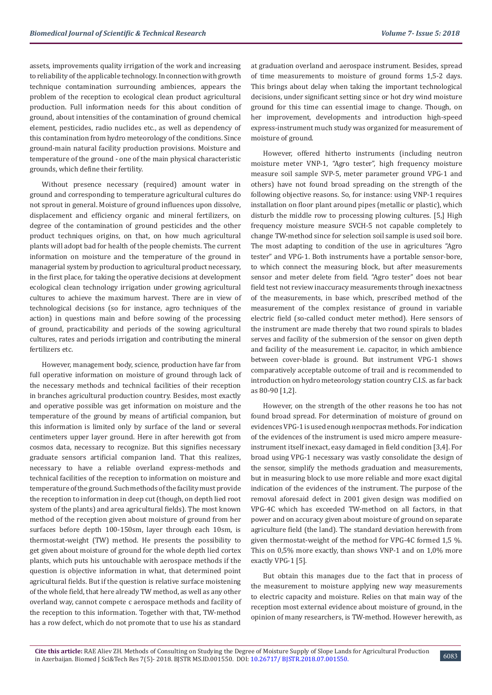assets, improvements quality irrigation of the work and increasing to reliability of the applicable technology. In connection with growth technique contamination surrounding ambiences, appears the problem of the reception to ecological clean product agricultural production. Full information needs for this about condition of ground, about intensities of the contamination of ground chemical element, pesticides, radio nuclides etc., as well as dependency of this contamination from hydro meteorology of the conditions. Since ground-main natural facility production provisions. Moisture and temperature of the ground - one of the main physical characteristic grounds, which define their fertility.

Without presence necessary (required) amount water in ground and corresponding to temperature agricultural cultures do not sprout in general. Moisture of ground influences upon dissolve, displacement and efficiency organic and mineral fertilizers, on degree of the contamination of ground pesticides and the other product techniques origins, on that, on how much agricultural plants will adopt bad for health of the people chemists. The current information on moisture and the temperature of the ground in managerial system by production to agricultural product necessary, in the first place, for taking the operative decisions at development ecological clean technology irrigation under growing agricultural cultures to achieve the maximum harvest. There are in view of technological decisions (so for instance, agro techniques of the action) in questions main and before sowing of the processing of ground, practicability and periods of the sowing agricultural cultures, rates and periods irrigation and contributing the mineral fertilizers etc.

However, management body, science, production have far from full operative information on moisture of ground through lack of the necessary methods and technical facilities of their reception in branches agricultural production country. Besides, most exactly and operative possible was get information on moisture and the temperature of the ground by means of artificial companion, but this information is limited only by surface of the land or several centimeters upper layer ground. Here in after herewith got from cosmos data, necessary to recognize. But this signifies necessary graduate sensors artificial companion land. That this realizes, necessary to have a reliable overland express-methods and technical facilities of the reception to information on moisture and temperature of the ground. Such methods of the facility must provide the reception to information in deep cut (though, on depth lied root system of the plants) and area agricultural fields). The most known method of the reception given about moisture of ground from her surfaces before depth 100-150sm, layer through each 10sm, is thermostat-weight (TW) method. He presents the possibility to get given about moisture of ground for the whole depth lied cortex plants, which puts his untouchable with aerospace methods if the question is objective information in what, that determined point agricultural fields. But if the question is relative surface moistening of the whole field, that here already TW method, as well as any other overland way, cannot compete c aerospace methods and facility of the reception to this information. Together with that, TW-method has a row defect, which do not promote that to use his as standard

at graduation overland and aerospace instrument. Besides, spread of time measurements to moisture of ground forms 1,5-2 days. This brings about delay when taking the important technological decisions, under significant setting since or hot dry wind moisture ground for this time can essential image to change. Though, on her improvement, developments and introduction high-speed express-instrument much study was organized for measurement of moisture of ground.

However, offered hitherto instruments (including neutron moisture meter VNP-1, "Agro tester", high frequency moisture measure soil sample SVP-5, meter parameter ground VPG-1 and others) have not found broad spreading on the strength of the following objective reasons. So, for instance: using VNP-1 requires installation on floor plant around pipes (metallic or plastic), which disturb the middle row to processing plowing cultures. [5,] High frequency moisture measure SVCH-5 not capable completely to change TW-method since for selection soil sample is used soil bore. The most adapting to condition of the use in agricultures "Agro tester" and VPG-1. Both instruments have a portable sensor-bore, to which connect the measuring block, but after measurements sensor and meter delete from field. "Agro tester" does not bear field test not review inaccuracy measurements through inexactness of the measurements, in base which, prescribed method of the measurement of the complex resistance of ground in variable electric field (so-called conduct meter method). Here sensors of the instrument are made thereby that two round spirals to blades serves and facility of the submersion of the sensor on given depth and facility of the measurement i.e. capacitor, in which ambience between cover-blade is ground. But instrument VPG-1 shows comparatively acceptable outcome of trail and is recommended to introduction on hydro meteorology station country C.I.S. as far back as 80-90 [1,2].

However, on the strength of the other reasons he too has not found broad spread. For determination of moisture of ground on evidences VPG-1 is used enough непростая methods. For indication of the evidences of the instrument is used micro ampere measureinstrument itself inexact, easy damaged in field condition [3,4]. For broad using VPG-1 necessary was vastly consolidate the design of the sensor, simplify the methods graduation and measurements, but in measuring block to use more reliable and more exact digital indication of the evidences of the instrument. The purpose of the removal aforesaid defect in 2001 given design was modified on VPG-4C which has exceeded TW-method on all factors, in that power and on accuracy given about moisture of ground on separate agriculture field (the land). The standard deviation herewith from given thermostat-weight of the method for VPG-4C formed 1,5 %. This on 0,5% more exactly, than shows VNP-1 and on 1,0% more exactly VPG-1 [5].

But obtain this manages due to the fact that in process of the measurement to moisture applying new way measurements to electric capacity and moisture. Relies on that main way of the reception most external evidence about moisture of ground, in the opinion of many researchers, is TW-method. However herewith, as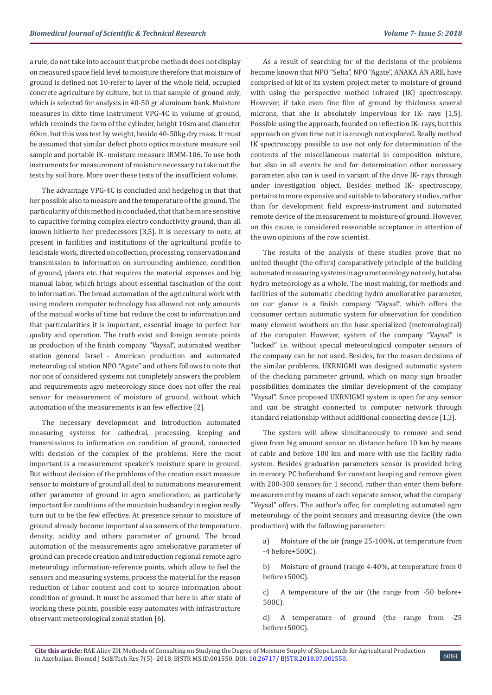a rule, do not take into account that probe methods does not display on measured space field level to moisture therefore that moisture of ground is defined not 10-refer to layer of the whole field, occupied concrete agriculture by culture, but in that sample of ground only, which is selected for analysis in 40-50 gr aluminum bank. Moisture measures in ditto time instrument VPG-4C in volume of ground, which reminds the form of the cylinder, height 10sm and diameter 60sm, but this was test by weight, beside 40-50kg dry mass. It must be assumed that similar defect photo optics moisture measure soil sample and portable IK- moisture measure IRMM-106. To use both instruments for measurement of moisture necessary to take out the tests by soil bore. More over these tests of the insufficient volume.

The advantage VPG-4C is concluded and hedgehog in that that her possible also to measure and the temperature of the ground. The particularity of this method is concluded, that that he more sensitive to capacitive forming complex electro conductivity ground, than all known hitherto her predecessors [3,5]. It is necessary to note, at present in facilities and institutions of the agricultural profile to lead stale work, directed on collection, processing, conservation and transmission to information on surrounding ambience, condition of ground, plants etc. that requires the material expenses and big manual labor, which brings about essential fascination of the cost to information. The broad automation of the agricultural work with using modern computer technology has allowed not only amounts of the manual works of time but reduce the cost to information and that particularities it is important, essential image to perfect her quality and operation. The truth exist and foreign remote points as production of the finish company "Vaysal", automated weather station general Israel - American production and automated meteorological station NPO "Agate" and others follows to note that nor one of considered systems not completely answers the problem and requirements agro meteorology since does not offer the real sensor for measurement of moisture of ground, without which automation of the measurements is an few effective [2].

The necessary development and introduction automated measuring systems for cathedral, processing, keeping and transmissions to information on condition of ground, connected with decision of the complex of the problems. Here the most important is a measurement speaker's moisture spare in ground. But without decision of the problems of the creation exact measure sensor to moisture of ground all deal to automations measurement other parameter of ground in agro amelioration, as particularly important for conditions of the mountain husbandry in region really turn out to be the few effective. At presence sensor to moisture of ground already become important also sensors of the temperature, density, acidity and others parameter of ground. The broad automation of the measurements agro ameliorative parameter of ground can precede creation and introduction regional remote agro meteorology information-reference points, which allow to feel the sensors and measuring systems, process the material for the reason reduction of labor content and cost to source information about condition of ground. It must be assumed that here in after state of working these points, possible easy automates with infrastructure observant meteorological zonal station [6].

As a result of searching for of the decisions of the problems became known that NPO "Selta", NPO "Agate", ANAKA AN ARE, have comprised of kit of its system project meter to moisture of ground with using the perspective method infrared (IK) spectroscopy. However, if take even fine film of ground by thickness several microns, that she is absolutely impervious for IK- rays [1,5]. Possible using the approach, founded on reflection IK- rays, but this approach on given time not it is enough not explored. Really method IK spectroscopy possible to use not only for determination of the contents of the miscellaneous material in composition mixture, but also in all events he and for determination other necessary parameter, also can is used in variant of the drive IK- rays through under investigation object. Besides method IK- spectroscopy, pertains to more expensive and suitable to laboratory studies, rather than for development field express-instrument and automated remote device of the measurement to moisture of ground. However, on this cause, is considered reasonable acceptance in attention of the own opinions of the row scientist.

The results of the analysis of these studies prove that no united thought (the offers) comparatively principle of the building automated measuring systems in agro meteorology not only, but also hydro meteorology as a whole. The most making, for methods and facilities of the automatic checking hydro ameliorative parameter, on our glance is a finish company "Vaysal", which offers the consumer certain automatic system for observation for condition many element weathers on the base specialized (meteorological) of the computer. However, system of the company "Vaysal" is "locked" i.e. without special meteorological computer sensors of the company can be not used. Besides, for the reason decisions of the similar problems, UKRNIGMI was designed automatic system of the checking parameter ground, which on many sign broader possibilities dominates the similar development of the company "Vaysal". Since proposed UKRNIGMI system is open for any sensor and can be straight connected to computer network through standard relationship without additional connecting device [1,3].

The system will allow simultaneously to remove and send given from big amount sensor on distance before 10 km by means of cable and before 100 km and more with use the facility radio system. Besides graduation parameters sensor is provided bring in memory PC beforehand for constant keeping and remove given with 200-300 sensors for 1 second, rather than enter them before measurement by means of each separate sensor, what the company "Veysal" offers. The author's offer, for completing automated agro meteorology of the point sensors and measuring device (the own production) with the following parameter:

a) Moisture of the air (range 25-100%, at temperature from -4 before+500C).

b) Moisture of ground (range 4-40%, at temperature from 0 before+500С).

c) A temperature of the air (the range from -50 before+ 500C).

d) A temperature of ground (the range from -25 before+500C).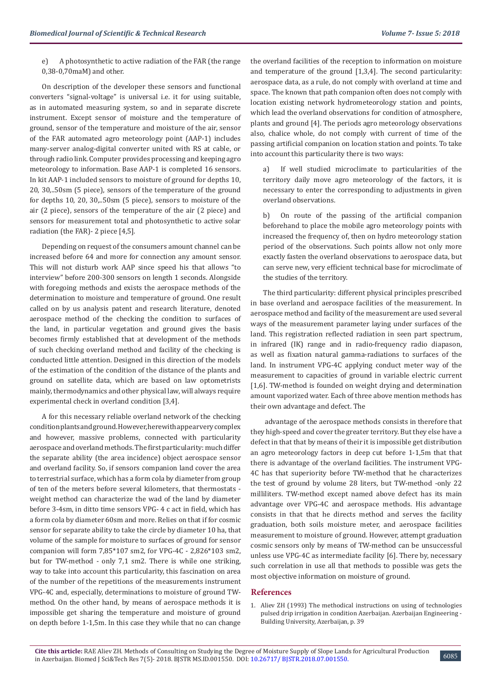e) A photosynthetic to active radiation of the FAR (the range 0,38-0,70maM) and other.

On description of the developer these sensors and functional converters "signal-voltage" is universal i.e. it for using suitable, as in automated measuring system, so and in separate discrete instrument. Except sensor of moisture and the temperature of ground, sensor of the temperature and moisture of the air, sensor of the FAR automated agro meteorology point (AAP-1) includes many-server analog-digital converter united with RS at cable, or through radio link. Computer provides processing and keeping agro meteorology to information. Base AAP-1 is completed 16 sensors. In kit AAP-1 included sensors to moisture of ground for depths 10, 20, 30,..50sm (5 piece), sensors of the temperature of the ground for depths 10, 20, 30,..50sm (5 piece), sensors to moisture of the air (2 piece), sensors of the temperature of the air (2 piece) and sensors for measurement total and photosynthetic to active solar radiation (the FAR)- 2 piece [4,5].

Depending on request of the consumers amount channel can be increased before 64 and more for connection any amount sensor. This will not disturb work AAP since speed his that allows "to interview" before 200-300 sensors on length 1 seconds. Alongside with foregoing methods and exists the aerospace methods of the determination to moisture and temperature of ground. One result called on by us analysis patent and research literature, denoted aerospace method of the checking the condition to surfaces of the land, in particular vegetation and ground gives the basis becomes firmly established that at development of the methods of such checking overland method and facility of the checking is conducted little attention. Designed in this direction of the models of the estimation of the condition of the distance of the plants and ground on satellite data, which are based on law optometrists mainly, thermodynamics and other physical law, will always require experimental check in overland condition [3,4].

А for this necessary reliable overland network of the checking condition plants and ground. However, herewith appear very complex and however, massive problems, connected with particularity aerospace and overland methods. The first particularity: much differ the separate ability (the area incidence) object aerospace sensor and overland facility. So, if sensors companion land cover the area to terrestrial surface, which has a form cola by diameter from group of ten of the meters before several kilometers, that thermostats weight method can characterize the wad of the land by diameter before 3-4sm, in ditto time sensors VPG- 4 c act in field, which has a form cola by diameter 60sm and more. Relies on that if for cosmic sensor for separate ability to take the circle by diameter 10 ha, that volume of the sample for moisture to surfaces of ground for sensor companion will form 7,85\*107 sm2, for VPG-4C - 2,826\*103 sm2, but for TW-method - only 7,1 sm2. There is while one striking, way to take into account this particularity, this fascination on area of the number of the repetitions of the measurements instrument VPG-4C and, especially, determinations to moisture of ground TWmethod. On the other hand, by means of aerospace methods it is impossible get sharing the temperature and moisture of ground on depth before 1-1,5m. In this case they while that no can change

the overland facilities of the reception to information on moisture and temperature of the ground [1,3,4]. The second particularity: aerospace data, as a rule, do not comply with overland at time and space. The known that path companion often does not comply with location existing network hydrometeorology station and points, which lead the overland observations for condition of atmosphere, plants and ground [4]. The periods agro meteorology observations also, chalice whole, do not comply with current of time of the passing artificial companion on location station and points. To take into account this particularity there is two ways:

a) If well studied microclimate to particularities of the territory daily move agro meteorology of the factors, it is necessary to enter the corresponding to adjustments in given overland observations.

b) On route of the passing of the artificial companion beforehand to place the mobile agro meteorology points with increased the frequency of, then on hydro meteorology station period of the observations. Such points allow not only more exactly fasten the overland observations to aerospace data, but can serve new, very efficient technical base for microclimate of the studies of the territory.

The third particularity: different physical principles prescribed in base overland and aerospace facilities of the measurement. In aerospace method and facility of the measurement are used several ways of the measurement parameter laying under surfaces of the land. This registration reflected radiation in seen part spectrum, in infrared (IK) range and in radio-frequency radio diapason, as well as fixation natural gamma-radiations to surfaces of the land. In instrument VPG-4C applying conduct meter way of the measurement to capacities of ground in variable electric current [1,6]. TW-method is founded on weight drying and determination amount vaporized water. Each of three above mention methods has their own advantage and defect. The

 advantage of the aerospace methods consists in therefore that they high-speed and cover the greater territory. But they else have a defect in that that by means of their it is impossible get distribution an agro meteorology factors in deep cut before 1-1,5m that that there is advantage of the overland facilities. The instrument VPG-4C has that superiority before TW-method that he characterizes the test of ground by volume 28 liters, but TW-method -only 22 milliliters. TW-method except named above defect has its main advantage over VPG-4C and aerospace methods. His advantage consists in that that he directs method and serves the facility graduation, both soils moisture meter, and aerospace facilities measurement to moisture of ground. However, attempt graduation cosmic sensors only by means of TW-method can be unsuccessful unless use VPG-4C as intermediate facility [6]. There by, necessary such correlation in use all that methods to possible was gets the most objective information on moisture of ground.

#### **References**

1. Aliev ZH (1993) The methodical instructions on using of technologies pulsed drip irrigation in condition Azerbaijan. Azerbaijan Engineering - Building University, Azerbaijan, p. 39